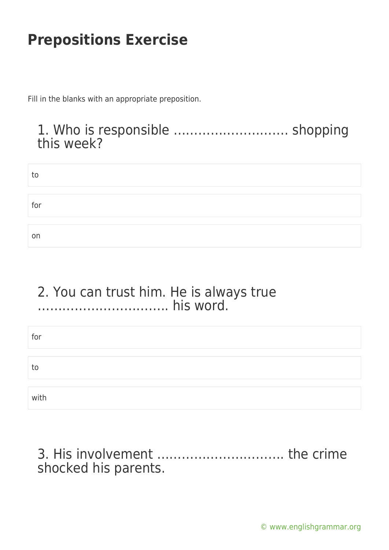Fill in the blanks with an appropriate preposition.

### 1. Who is responsible ………………………. shopping this week?

| to  |  |  |
|-----|--|--|
|     |  |  |
|     |  |  |
| for |  |  |
|     |  |  |
|     |  |  |
| on  |  |  |

#### 2. You can trust him. He is always true ………………………….. his word.

| for  |  |  |
|------|--|--|
| to   |  |  |
| with |  |  |

3. His involvement …………………………. the crime shocked his parents.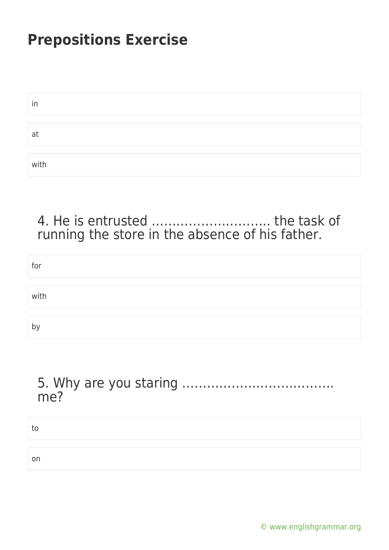| in   |  |
|------|--|
|      |  |
| at   |  |
|      |  |
| with |  |

### 4. He is entrusted ……………………….. the task of running the store in the absence of his father.

| for  |  |  |  |
|------|--|--|--|
|      |  |  |  |
| with |  |  |  |
|      |  |  |  |
| b١   |  |  |  |

#### 5. Why are you staring ………………………………. me?

| τo |  |
|----|--|
|    |  |
| on |  |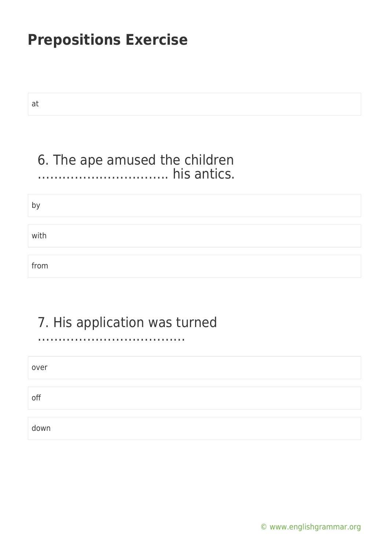at

### 6. The ape amused the children ………………………….. his antics.

by

with

from

### 7. His application was turned

………………………………

| over |  |
|------|--|
|      |  |
| off  |  |
|      |  |
| down |  |

[© www.englishgrammar.org](https://www.englishgrammar.org/)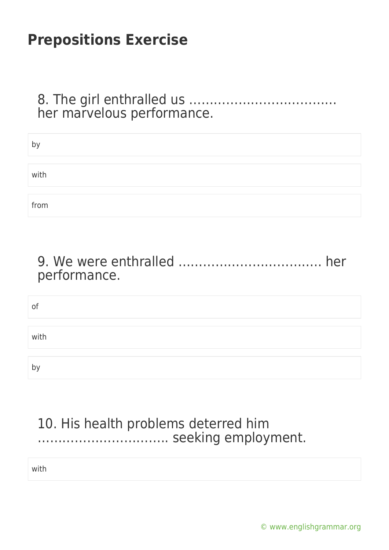#### 8. The girl enthralled us ……………………………… her marvelous performance.

| b١   |  |
|------|--|
|      |  |
| with |  |
|      |  |
| from |  |

### 9. We were enthralled …………………………….. her performance.

| 0f           |  |  |
|--------------|--|--|
|              |  |  |
| with         |  |  |
|              |  |  |
| $\mathsf{b}$ |  |  |

### 10. His health problems deterred him ………………………….. seeking employment.

with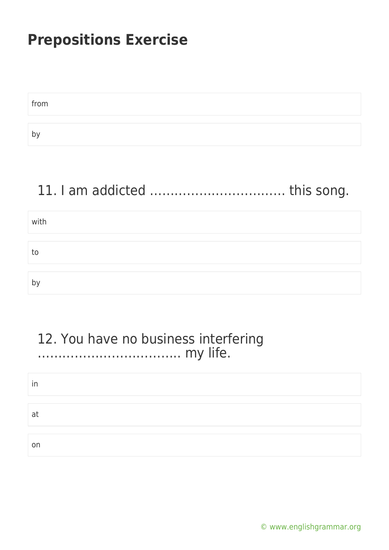| from |  |  |
|------|--|--|
|      |  |  |
| b١   |  |  |

# 11. I am addicted …………………………… this song.

| with |  |
|------|--|
|      |  |
| tc   |  |
|      |  |
|      |  |

### 12. You have no business interfering …………………………….. my life.

| ın |  |  |  |
|----|--|--|--|
|    |  |  |  |
| a  |  |  |  |
|    |  |  |  |
| on |  |  |  |

[© www.englishgrammar.org](https://www.englishgrammar.org/)